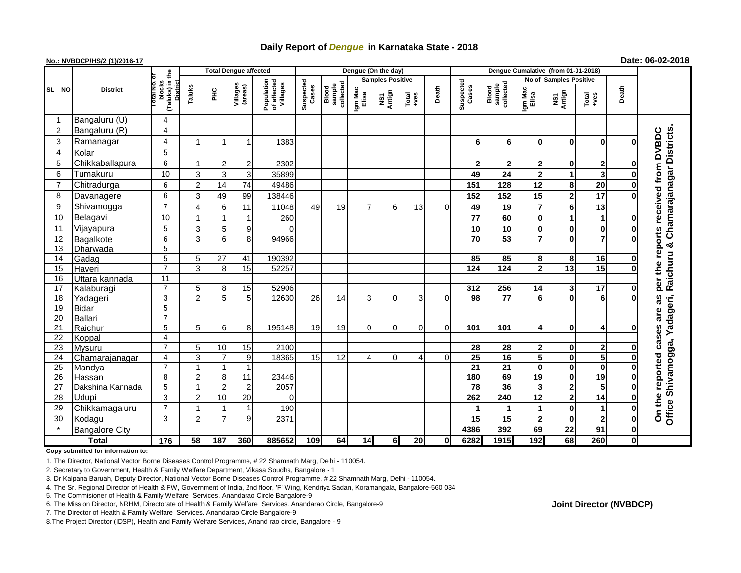# **Daily Report of** *Dengue* **in Karnataka State - 2018**

## **No.: NVBDCP/HS/2 (1)/2016-17 Date: 06-02-2018**

|                 | <b>District</b>       |                                                   | <b>Total Dengue affected</b> |                      |                     |                                       |                    |                              |                         | Dengue (On the day) |               |             |                 |                                                    |                               |                         |                |              |                                                            |
|-----------------|-----------------------|---------------------------------------------------|------------------------------|----------------------|---------------------|---------------------------------------|--------------------|------------------------------|-------------------------|---------------------|---------------|-------------|-----------------|----------------------------------------------------|-------------------------------|-------------------------|----------------|--------------|------------------------------------------------------------|
|                 |                       |                                                   |                              |                      |                     |                                       |                    |                              | <b>Samples Positive</b> |                     |               |             |                 |                                                    | <b>No of Samples Positive</b> |                         |                |              |                                                            |
| SL NO           |                       | (Taluks) in the<br>blocks<br>District<br>otal No. | Taluks                       | ĔБ                   | Villages<br>(areas) | Population<br>of affected<br>Villages | Suspected<br>Cases | collected<br>sample<br>Blood | Igm Mac<br>Elisa        | Antign<br>Σń        | Total<br>+ves | Death       |                 | Suspected<br>Cases<br>collected<br>sample<br>Blood | Igm Mac<br>Elisa              | NS1<br>Antign           | Total<br>+ves  | Death        |                                                            |
| -1              | Bangaluru (U)         | 4                                                 |                              |                      |                     |                                       |                    |                              |                         |                     |               |             |                 |                                                    |                               |                         |                |              |                                                            |
| $\overline{c}$  | Bangaluru (R)         | 4                                                 |                              |                      |                     |                                       |                    |                              |                         |                     |               |             |                 |                                                    |                               |                         |                |              |                                                            |
| 3               | Ramanagar             | 4                                                 |                              |                      |                     | 1383                                  |                    |                              |                         |                     |               |             | 6               | 6                                                  | 0                             | 0                       | $\bf{0}$       | O            | <b>DVBDC</b>                                               |
| 4               | Kolar                 | 5                                                 |                              |                      |                     |                                       |                    |                              |                         |                     |               |             |                 |                                                    |                               |                         |                |              |                                                            |
| 5               | Chikkaballapura       | 6                                                 |                              | $2 \mid$             | $2 \mid$            | 2302                                  |                    |                              |                         |                     |               |             | $\mathbf{2}$    | $\mathbf{2}$                                       | 2                             | 0                       | 2              | 0            |                                                            |
| 6               | Tumakuru              | 10                                                | 3                            | $\overline{3}$       | 3                   | 35899                                 |                    |                              |                         |                     |               |             | 49              | 24                                                 | $\mathbf{2}$                  | 1                       | 3              | $\bf{0}$     |                                                            |
| $\overline{7}$  | Chitradurga           | 6                                                 | $\overline{2}$               | 14                   | 74                  | 49486                                 |                    |                              |                         |                     |               |             | 151             | 128                                                | 12                            | 8                       | 20             | $\mathbf 0$  | Chamarajanagar Districts.<br>per the reports received from |
| 8               | Davanagere            | 6                                                 | 3                            | 49                   | 99                  | 138446                                |                    |                              |                         |                     |               |             | 152             | 152                                                | 15                            | $\overline{\mathbf{2}}$ | 17             | $\Omega$     |                                                            |
| 9               | Shivamogga            | $\overline{7}$                                    |                              | $6 \mid$             | 11                  | 11048                                 | 49                 | 19                           | $\overline{7}$          | 6                   | 13            | 0           | 49              | 19                                                 | $\overline{7}$                | 6                       | 13             |              |                                                            |
| 10              | Belagavi              | 10                                                |                              |                      |                     | 260                                   |                    |                              |                         |                     |               |             | 77              | 60                                                 | $\mathbf 0$                   | 1                       | 1              | 0            |                                                            |
| 11              | Vijayapura            | 5                                                 | 3                            | 5 <sub>5</sub>       | 9                   | $\Omega$                              |                    |                              |                         |                     |               |             | 10              | 10                                                 | 0                             | 0                       | 0              | 0            |                                                            |
| 12              | Bagalkote             | $\overline{6}$                                    | 3                            | 6 <sup>1</sup>       | 8 <sup>1</sup>      | 94966                                 |                    |                              |                         |                     |               |             | $\overline{70}$ | 53                                                 | $\overline{7}$                | $\bf{0}$                | $\overline{7}$ | $\bf{0}$     |                                                            |
| 13              | Dharwada              | $\overline{5}$                                    |                              |                      |                     |                                       |                    |                              |                         |                     |               |             |                 |                                                    |                               |                         |                |              | ×                                                          |
| 14              | Gadag                 | $\overline{5}$                                    | 5 <sup>1</sup>               | 27                   | 41                  | 190392                                |                    |                              |                         |                     |               |             | 85              | 85                                                 | 8                             | 8                       | 16             | 0            |                                                            |
| 15              | Haveri                | $\overline{7}$                                    | 3                            | 8 <sup>1</sup>       | 15                  | 52257                                 |                    |                              |                         |                     |               |             | $\frac{1}{124}$ | $\overline{124}$                                   | $\mathbf 2$                   | $\overline{13}$         | 15             | $\bf{0}$     | Raichuru                                                   |
| 16              | Uttara kannada        | $\overline{11}$                                   |                              |                      |                     |                                       |                    |                              |                         |                     |               |             |                 |                                                    |                               |                         |                |              |                                                            |
| 17              | Kalaburagi            | $\overline{7}$                                    | 5                            | 8 <sup>1</sup>       | 15                  | 52906                                 |                    |                              |                         |                     |               |             | 312             | 256                                                | 14                            | 3                       | 17             | $\mathbf 0$  |                                                            |
| 18              | Yadageri              | 3                                                 | $\mathfrak{p}$               | 5 <sub>5</sub>       | 5 <sub>l</sub>      | 12630                                 | 26                 | 14                           | 3                       | 0                   | 3             | $\mathbf 0$ | 98              | $\overline{77}$                                    | 6                             | 0                       | 6              | $\Omega$     | U)<br>ä                                                    |
| 19              | <b>Bidar</b>          | $\overline{5}$                                    |                              |                      |                     |                                       |                    |                              |                         |                     |               |             |                 |                                                    |                               |                         |                |              | are                                                        |
| 20              | <b>Ballari</b>        | $\overline{7}$                                    |                              |                      |                     |                                       |                    |                              |                         |                     |               |             |                 |                                                    |                               |                         |                |              |                                                            |
| 21              | Raichur               | $\overline{5}$                                    | 5 <sup>1</sup>               | $6 \mid$             | 8                   | 195148                                | 19                 | 19                           | $\Omega$                | 0                   | $\Omega$      | $\Omega$    | 101             | 101                                                | 4                             | 0                       | 4              | O            | cases                                                      |
| 22              | Koppal                | 4                                                 |                              |                      |                     |                                       |                    |                              |                         |                     |               |             |                 |                                                    |                               |                         |                |              |                                                            |
| $\overline{23}$ | Mysuru                | $\overline{7}$                                    | 5 <sup>1</sup>               | 10                   | 15                  | 2100                                  |                    |                              |                         |                     |               |             | 28              | 28                                                 | $\mathbf{2}$                  | 0                       | $\mathbf 2$    | 0            |                                                            |
| 24              | Chamarajanagar        | 4                                                 | 3                            | $\overline{7}$       | 9                   | 18365                                 | 15                 | 12                           | 4                       | $\Omega$            | 4             | $\Omega$    | $\overline{25}$ | 16                                                 | 5                             | 0                       | 5              | $\bf{0}$     | reported                                                   |
| 25              | Mandya                | $\overline{7}$                                    |                              | $\blacktriangleleft$ | $\mathbf{1}$        |                                       |                    |                              |                         |                     |               |             | $\overline{21}$ | 21                                                 | 0                             | 0                       | $\pmb{0}$      | 0            |                                                            |
| 26              | Hassan                | 8                                                 | 2                            | 8                    | 11                  | 23446                                 |                    |                              |                         |                     |               |             | 180             | 69                                                 | 19                            | 0                       | 19             | $\bf{0}$     |                                                            |
| 27              | Dakshina Kannada      | 5                                                 |                              | $\overline{2}$       | $\overline{2}$      | 2057                                  |                    |                              |                         |                     |               |             | 78              | 36                                                 | 3                             | 2                       | 5              | 0            | Shivamogga, Yadageri,                                      |
| 28              | Udupi                 | 3                                                 | $\overline{2}$               | 10                   | 20                  | $\Omega$                              |                    |                              |                         |                     |               |             | 262             | 240                                                | 12                            | $\overline{\mathbf{2}}$ | 14             | $\bf{0}$     |                                                            |
| 29              | Chikkamagaluru        | $\overline{7}$                                    |                              |                      | 1                   | 190                                   |                    |                              |                         |                     |               |             | 1               |                                                    | 1                             | 0                       | $\mathbf{1}$   | $\mathbf 0$  | On the<br><b>Office</b>                                    |
| 30              | Kodagu                | 3                                                 | 2                            | $\overline{7}$       | 9                   | 2371                                  |                    |                              |                         |                     |               |             | 15              | 15                                                 | $\mathbf{2}$                  | $\bf{0}$                | $\overline{2}$ | $\mathbf 0$  |                                                            |
|                 | <b>Bangalore City</b> |                                                   |                              |                      |                     |                                       |                    |                              |                         |                     |               |             | 4386            | 392                                                | 69                            | 22                      | 91             | $\mathbf 0$  |                                                            |
| <b>Total</b>    |                       | $\frac{1}{176}$                                   | 58                           | 187                  | 360                 | 885652                                | 109                | 64                           | 14                      | 6 <sup>1</sup>      | 20            | 0           | 6282            | 1915                                               | 192                           | 68                      | 260            | $\mathbf{0}$ |                                                            |

**Copy submitted for information to:**

1. The Director, National Vector Borne Diseases Control Programme, # 22 Shamnath Marg, Delhi - 110054.

2. Secretary to Government, Health & Family Welfare Department, Vikasa Soudha, Bangalore - 1

3. Dr Kalpana Baruah, Deputy Director, National Vector Borne Diseases Control Programme, # 22 Shamnath Marg, Delhi - 110054.

4. The Sr. Regional Director of Health & FW, Government of India, 2nd floor, 'F' Wing, Kendriya Sadan, Koramangala, Bangalore-560 034

5. The Commisioner of Health & Family Welfare Services. Anandarao Circle Bangalore-9

7. The Director of Health & Family Welfare Services. Anandarao Circle Bangalore-9

8.The Project Director (IDSP), Health and Family Welfare Services, Anand rao circle, Bangalore - 9

**Joint Director (NVBDCP)**

<sup>6.</sup> The Mission Director, NRHM, Directorate of Health & Family Welfare Services. Anandarao Circle, Bangalore-9